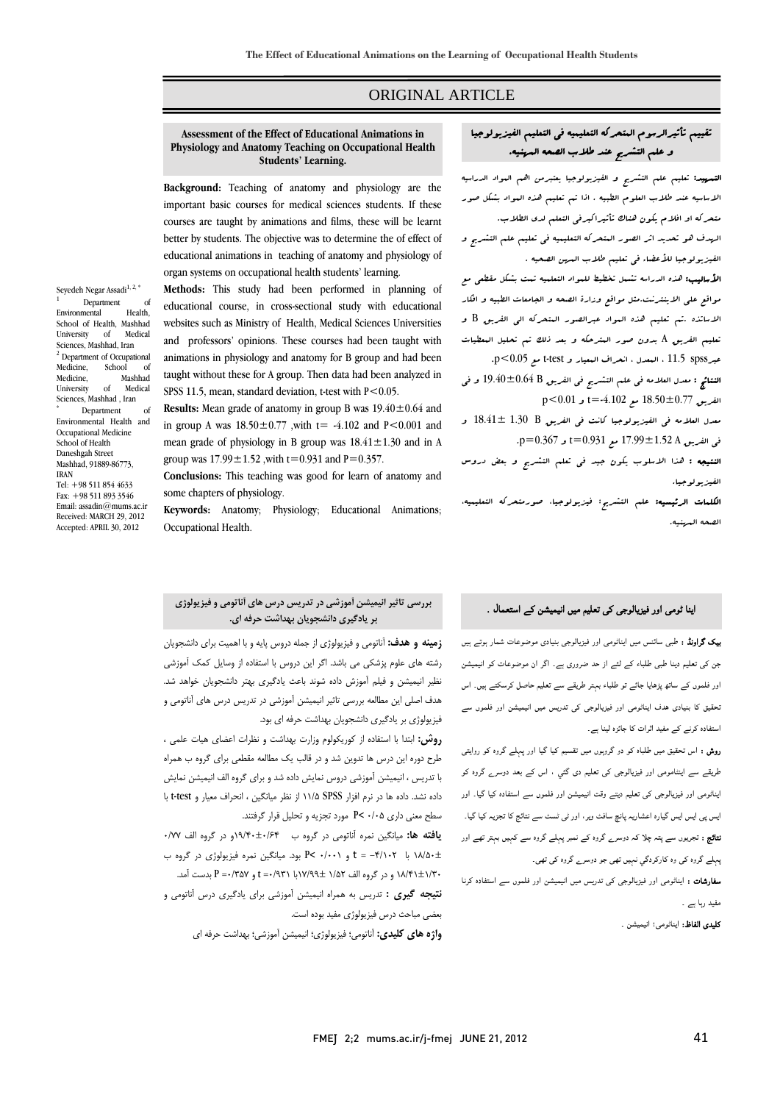## ORIGINAL ARTICLE

# **Assessment of the Effect of Educational Animations in Students' Learning. Background:** Teaching of anatomy and physiology are the **Physiology and Anatomy Teaching on Occupational Health**

Ī  $\overline{a}$ 

 important basic courses for medical sciences students. If these courses are taught by animations and films, these will be learnt better by students. The objective was to determine the of effect of educational animations in teaching of anatomy and physiology of organ systems on occupational health students' learning.

 **Methods:** This study had been performed in planning of educational course, in cross-sectional study with educational and professors' opinions. These courses had been taught with animations in physiology and anatomy for B group and had been<br>animations in physiology and anatomy for B group and had been taught without these for A group. Then data had been analyzed in SPSS 11.5, mean, standard deviation, t-test with  $P < 0.05$ . websites such as Ministry of Health, Medical Sciences Universities

 **Results:** Mean grade of anatomy in group B was 19.40±0.64 and in group A was  $18.50 \pm 0.77$  , with  $t = -4.102$  and  $P < 0.001$  and mean grade of physiology in B group was 18.41±1.30 and in A

 **Conclusions:** This teaching was good for learn of anatomy and some chapters of physiology.

 **Keywords:** Anatomy; Physiology; Educational Animations; Occupational Health.

# تقييم تأثيرالرسوم المتحركه التعليميه في التعليم الفيزيولوجيا و علم التشريح عند طلاب الصحه المهنيه.

Ī  $\overline{a}$ 

ا**لتسهيد:** تعليم علم التشريح و الفيزيولوجيا يعتبرمن اهم ال<sub>مو</sub>اد الدراسيه الاساسيه عند طلاب العلوم الطبيه . اذا تم تعليم هذه المواد بشكل صور متحركه او افلام يكون هناك تأثيراكبرفي التعلم لدي الطلاب. الهدف هو تحديد اثر الصور المتحركه التعليميه في تعليم علم التشريح و الفيزيولوجيا للأعضاء في تعليم طلاب المهن الصحيه . الأساليب: هذه الدراسه تشمل تخطيط للمواد التعلميه تمت بشكل مقطعي مع مواقع علي الاينترنت.مثل مواقع وزارة الصحه و الجامعات الطبيه و افكار

 الاساتذه .تم تعليم هذه المواد عبرالصور المتحركه الي الفريق B و تعليم الفريق A بدون صور المترحكه و بعد ذلك تم تحليل المعطيات عبرn>6.05 ، البعدل ، انعراف البعيار و test-t مع p<0.05.<br>p.5 /0 × 0.05 ، البعدل ، انتقراف البعيار و test (p.5 × 0.05 )

 النتائج : معدل العلامه في علم التشريح في الفريق B 19.40±0.64 و في الفريق 18.50±0.77 مع -4.102=t و 0.01>p

 معدل العلامه في الفيزيولوجيا كانت في الفريق B 1.30 18.41± و في الفريق A 17.99±1.52 مع 0.931=t و 0.367=p.

ا**لنتيجه :** هذا الاسلوب يكون جيد ف<sub>ى</sub> تعلم التشريح و بعض دروس الفيزيولوجيا.

ا**لكلمات الرئيسيه:** علم التشريح<sup>؛</sup> فيزيولوجيا، صورمت<sub></sub>حركه التعليميه، الصحه المهنيه.

# اینا ٹومی اور فیزیالوجی کی تعلیم میں انیمیشن کے استعمال .

 بیک گراونڈ : طبی سائنس میں ایناٹومی اور فیزیالوجی بنیادی موضوعات شمار ہوتے ہیں جن کی تعلیم دینا طبی طلباء کے لئے از حد ضروری ہے۔ اگر ان موضوعات کو انیمیشن اور فلموں کے ساتھ پڑھایا جائے تو طلباء بہتر طریقے سے تعلیم حاصل کرسکتے ہیں۔ اس تحقیق کا بنیادی ھدف ایناٹومی اور فیزیالوجی کی تدریس میں انیمیشن اور فلموں سے استفادہ کرنے کے مفید اثرات کا جائزہ لینا ہے۔

 روش : اس تحقیق میں طلباہ کو دو گروہوں میں تقسیم کیا گيا اور پہلے گروہ کو روایتی طریقے سے اینٹامومی اور فیزیالوجی کی تعلیم دی گئي ، اس کے بعد دوسرے گروہ کو ایناٹومی اور فیزیالوجی کی تعلیم دیتے وقت انیمیشن اور فلموں سے استفادہ کیا گيا۔ اور ایس پی ایس ایس گيارہ اعشاریہ پانچ سافٹ ویر، اور ٹی ٹسٹ سے نتائج کا تجزیہ کیا گيا۔ نتائج : تجریوں سے پتہ چلا کہ دوسرے گروہ کے نمبر پہلے گروہ سے کہیں بہتر تھے اور پہلے گروہ کی وہ کارکردگي نہیں تھی جو دوسرے گروہ کی تھی۔

 سفارشات : ایناٹومی اور فیزیالوجی کی تدریس میں انیمیشن اور فلموں سے استفادہ کرنا مفید رہا ہے ۔

. . <u>.</u><br>ک**لیدی الفاظ:** ایناٹومی؛ انیمیشن .

# **بررسي تاثير انيميشن آموزشي در تدريس درس هاي آناتومي و فيزيولوژي بر يادگيري دانشجويان بهداشت حرفه اي.**

 **زمينه و هدف:** آناتومي و فيزيولوژي از جمله دروس پايه و با اهميت براي دانشجويان رشته هاي علوم پزشكي مي باشد. اگر اين دروس با استفاده از وسايل كمك آموزشي ر در سي سيسن و فيلم آموزش داده شوند باعث يرك .<br>نظير انيميشن و فيلم آموزش داده شوند باعث يادگيري بهتر دانشجويان خواهد شد. هدف اصلي اين مطالعه بررسي تاثير انيميشن آموزشي در تدريس درس هاي آناتومي و<br>هدف اصلي اين مطالعه بررسي تاثير انيميشن آموزشي در تدريس درس هاي آناتومي و فيزيولوژي بر يادگيري دانشجويان بهداشت حرفه اي بود.

 **روش:** ابتدا با استفاده از كوريكولوم وزارت بهداشت و نظرات اعضاي هيات علمي ، رر حسب مستحد در درست در است.<br>طرح دوره اين درس ها تدوين شد و در قالب يک مطالعه مقطعي براي گروه ب همراه با تدريس ، انيميشن آموزشي دروس نمايش داده شد و براي گروه الف انيميشن نمايش . در ن ن سمت است در اي از زند است و داده از نرم است و داده سال ميان با سال<br>داده نشد. داده ها در نرم افزار SPSS ۱۱/۵ از نظر ميانگين ، انحراف معيار و test-t سطح معني داري 0/05 >P مورد تجزيه و تحليل قرار گرفتند.

 **يافته ها:** ميانگين نمره آناتومي در گروه ب 19/40±0/64و در گروه الف 0/77 18/50± با -4/102 = t و 0/001 >P بود. ميانگين نمره فيزيولوژي در گروه ب \_\_ س‰ ب در در است کا و در گروه الف 12/4 با 1932 و 20%/ج بدست آمد.<br>+1/67±1/7 و در گروه الف 1/67 ±1/90{\d | 1/87}= t و P = /387 بدست آمد. ľ **نتيجه گيري :** تدريس به همراه انيميشن آموزشي براي يادگيري درس آناتومي و

 بعضي مباحث درس فيزيولوژي مفيد بوده است. **واژه هاي كليدي:** آناتومي؛ فيزيولوژي؛ انيميشن آموزشي؛ بهداشت حرفه اي

group was  $17.99 \pm 1.52$  , with  $t=0.931$  and  $P=0.357$ .

Medicine, School of<br>Medicine. Mashhad Medicine. University of Medical Sciences, Mashhad , Iran Department of Environmental Health and Occupational Medicine School of Health Daneshgah Street Mashhad, 91889-86773, IRAN Tel: +98 511 854 4633 Fax: +98 511 893 3546 Email: assadin@mums.ac.ir Received: MARCH 29, 2012 Accepted: APRIL 30, 2012

Seyedeh Negar Assadi<sup>1, 2, \*</sup>

School of Health, Mashhad<br>University of Medical

Environmental

University Sciences, Mashhad, Iran <sup>2</sup> Department of Occupational

Department of<br>mental Health

1

\*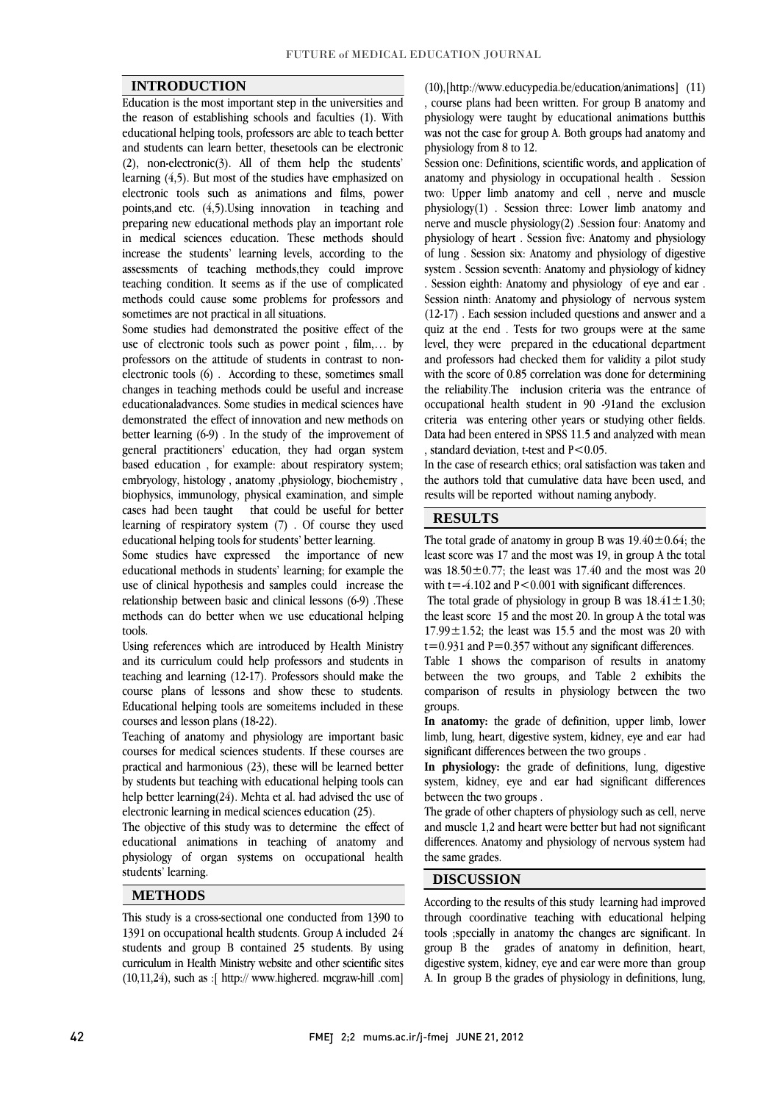### **INTRODUCTION**

 Education is the most important step in the universities and the reason of establishing schools and faculties (1). With and students can learn better, thesetools can be electronic (2), non-electronic(3). All of them help the students' learning (4,5). But most of the studies have emphasized on electronic tools such as animations and films, power preparing new educational methods play an important role in medical sciences education. These methods should increase the students' learning levels, according to the assessments of teaching methods,they could improve methods could cause some problems for professors and educational helping tools, professors are able to teach better points,and etc. (4,5).Using innovation in teaching and teaching condition. It seems as if the use of complicated sometimes are not practical in all situations.

 Some studies had demonstrated the positive effect of the use of electronic tools such as power point , film,… by electronic tools (6) . According to these, sometimes small changes in teaching methods could be useful and increase educationaladvances. Some studies in medical sciences have demonstrated the effect of mnovation and new methods on<br>better learning (6-9). In the study of the improvement of general practitioners' education, they had organ system based education , for example: about respiratory system; embryology, histology , anatomy ,physiology, biochemistry , biophysics, initiationgly, physical examination, and simple<br>cases had been taught that could be useful for better learning of respiratory system (7) . Of course they used professors on the attitude of students in contrast to nondemonstrated the effect of innovation and new methods on biophysics, immunology, physical examination, and simple educational helping tools for students' better learning.

 Some studies have expressed the importance of new use of clinical hypothesis and samples could increase the relationship between basic and clinical lessons (6-9) .These methods can do better when we use educational helping educational methods in students' learning; for example the tools.

toois.<br>Using references which are introduced by Health Ministry and its curriculum could help professors and students in teaching and learning (12-17). Professors should make the course plans of lessons and show these to students. Educational helping tools are someitems included in these courses and lesson plans (18-22).

 Teaching of anatomy and physiology are important basic courses for medical sciences students. If these courses are practical and harmonious (23), these will be learned better by students but teaching with educational helping tools can help better learning(24). Mehta et al. had advised the use of<br>electronic learning in medical sciences education (25) electronic learning in medical sciences education (25).

 The objective of this study was to determine the effect of educational animations in teaching of anatomy and physiology of organ systems on occupational health l students' learning.

## **METHODS**

 This study is a cross-sectional one conducted from 1390 to students and group B contained 25 students. By using curriculum in Health Ministry website and other scientific sites (10,11,24), such as :[ http:// www.highered. mcgraw-hill .com] 1391 on occupational health students. Group A included 24

 , course plans had been written. For group B anatomy and physiology were taught by educational animations butthis was not the case for group A. Both groups had anatomy and<br>physiology from 8 to 12 (10),[http://www.educypedia.be/education/animations] (11) physiology from 8 to 12.

Session one: Definitions, scientific words, and application of anatomy and physiology in occupational health . Session two: Upper limb anatomy and cell , nerve and muscle  $\text{energy}(1)$ : Session time: Ever  $\text{time}$  anatomy and nerve and muscle physiology(2). Session four: Anatomy and physiology of heart . Session five: Anatomy and physiology of lung . Session six: Anatomy and physiology of digestive system . Session seventh: Anatomy and physiology of kidney<br>. Session eighth: Anatomy and physiology of eye and ear . Session ninth: Anatomy and physiology of nervous system (12-17) . Each session included questions and answer and a quiz at the end . Tests for two groups were at the same level, they were prepared in the educational department with the score of 0.85 correlation was done for determining the reliability.The inclusion criteria was the entrance of occupational health student in 90 -91and the exclusion Data had been entered in SPSS 11.5 and analyzed with mean physiology(1) . Session three: Lower limb anatomy and system . Session seventh: Anatomy and physiology of kidney and professors had checked them for validity a pilot study criteria was entering other years or studying other fields. , standard deviation, t-test and  $P < 0.05$ .

 In the case of research ethics; oral satisfaction was taken and the authors told that cumulative data have been used, and  $\overline{a}$ results will be reported without naming anybody.

 $\overline{a}$ 

 $\overline{a}$ 

### **RESULTS**

The total grade of anatomy in group B was  $19.40 \pm 0.64$ ; the least score was 17 and the most was 19, in group A the total was  $18.50 \pm 0.77$ ; the least was  $17.40$  and the most was  $20$ <br>with  $t = 4.102$  and  $P < 0.001$  with similicant differences with  $t = -4.102$  and  $P < 0.001$  with significant differences.

The total grade of physiology in group B was  $18.41 \pm 1.30$ ; the least score 15 and the most 20. In group A the total was 17.99 $\pm$ 1.52; the least was 15.5 and the most was 20 with  $t=0.931$  and  $P=0.357$  without any significant differences.

Table 1 shows the comparison of results in anatomy between the two groups, and Table 2 exhibits the comparison of results in physiology between the two groups.

 **In anatomy:** the grade of definition, upper limb, lower limb, lung, heart, digestive system, kidney, eye and ear had significant differences between the two groups .

 **In physiology:** the grade of definitions, lung, digestive system, kidney, eye and ear had significant differences between the two groups .

The grade of other chapters of physiology such as cell, nerve and muscle 1,2 and heart were better but had not significant differences. Anatomy and physiology of nervous system had L the same grades.

#### **DISCUSSION**

 According to the results of this study learning had improved through coordinative teaching with educational helping group B the grades of anatomy in definition, heart, digestive system, kidney, eye and ear were more than group A. In group B the grades of physiology in definitions, lung, tools ;specially in anatomy the changes are significant. In

 $\overline{a}$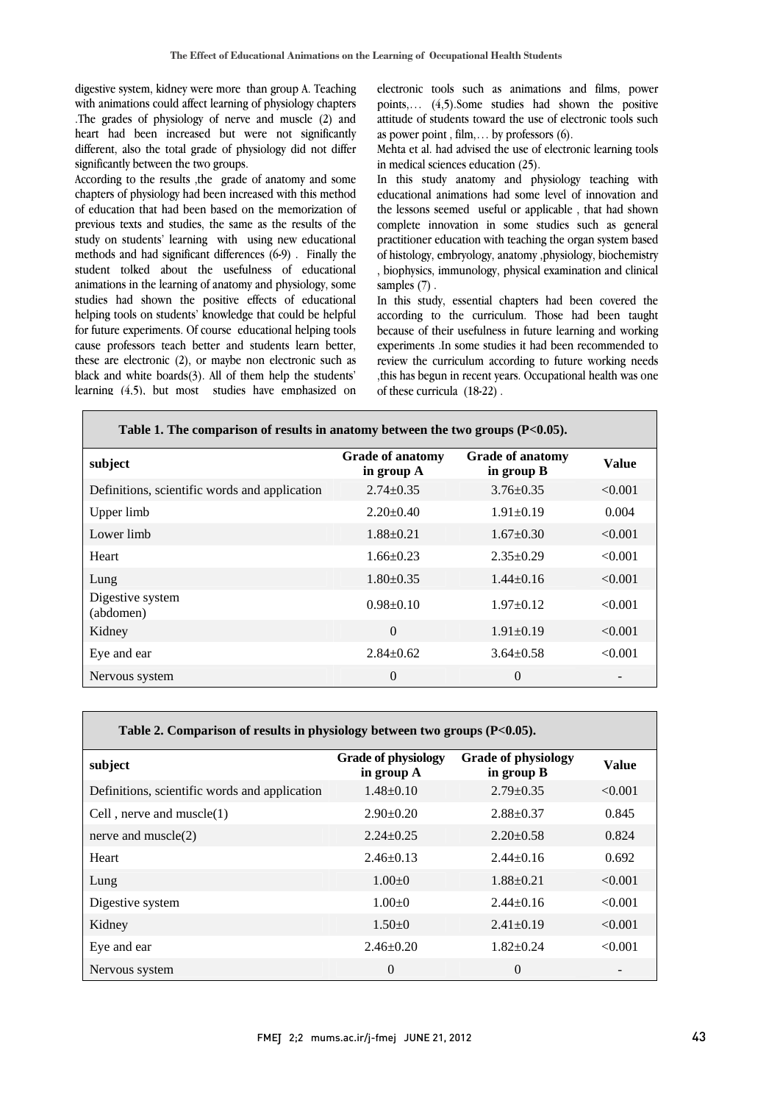digestive system, kidney were more than group A. Teaching with animations could affect learning of physiology chapters .The grades of physiology of nerve and muscle (2) and heart had been increased but were not significantly different, also the total grade of physiology did not differ<br>sionificantly between the two groups significantly between the two groups.

 According to the results ,the grade of anatomy and some chapters of physiology had been increased with this method previous texts and studies, the same as the results of the study on students' learning with using new educational methods and had significant differences (6-9) . Finally the student tolked about the usefulness of educational studies had shown the positive effects of educational helping tools on students' knowledge that could be helpful for future experiments. Of course educational helping tools cause professors teach better and students learn better, black and white boards(3). All of them help the students' learning (4,5), but most studies have emphasized on of education that had been based on the memorization of animations in the learning of anatomy and physiology, some these are electronic (2), or maybe non electronic such as

г

 electronic tools such as animations and films, power points,... (4,5).Some studies had shown the positive attitude of students toward the use of electronic tools such  $\overline{a}$ as power point , film,… by professors (6).

Mehta et al. had advised the use of electronic learning tools<br>in medical sciences education (25) in medical sciences education (25).

 educational animations had some level of innovation and complete innovation in some studies such as general practitioner education with teaching the organ system based of histology, embryology, anatomy ,physiology, biochemistry , biophysics, immunology, physical examination and clinical In this study anatomy and physiology teaching with the lessons seemed useful or applicable , that had shown samples  $(7)$ .

 In this study, essential chapters had been covered the according to the curriculum. Those had been taught because of their usefulness in future learning and working experiments .In some studies it had been recommended to ,this has begun in recent years. Occupational health was one review the curriculum according to future working needs of these curricula (18-22) .

l

ł

| Table 1. The comparison of results in anatomy between the two groups $(P<0.05)$ . |                                         |                                       |              |  |
|-----------------------------------------------------------------------------------|-----------------------------------------|---------------------------------------|--------------|--|
| subject                                                                           | <b>Grade of anatomy</b><br>in group $A$ | <b>Grade of anatomy</b><br>in group B | <b>Value</b> |  |
| Definitions, scientific words and application                                     | $2.74 \pm 0.35$                         | $3.76 \pm 0.35$                       | < 0.001      |  |
| Upper limb                                                                        | $2.20 \pm 0.40$                         | $1.91 \pm 0.19$                       | 0.004        |  |
| Lower limb                                                                        | $1.88 + 0.21$                           | $1.67 \pm 0.30$                       | < 0.001      |  |
| Heart                                                                             | $1.66 \pm 0.23$                         | $2.35 \pm 0.29$                       | < 0.001      |  |
| Lung                                                                              | $1.80 \pm 0.35$                         | $1.44 \pm 0.16$                       | < 0.001      |  |
| Digestive system<br>(abdomen)                                                     | $0.98 \pm 0.10$                         | $1.97+0.12$                           | < 0.001      |  |
| Kidney                                                                            | $\theta$                                | $1.91 \pm 0.19$                       | < 0.001      |  |
| Eye and ear                                                                       | $2.84 \pm 0.62$                         | $3.64 \pm 0.58$                       | < 0.001      |  |
| Nervous system                                                                    | $\Omega$                                | $\Omega$                              |              |  |
|                                                                                   |                                         |                                       |              |  |

L

| Table 2. Comparison of results in physiology between two groups $(P<0.05)$ . |                                          |                                          |              |  |
|------------------------------------------------------------------------------|------------------------------------------|------------------------------------------|--------------|--|
| subject                                                                      | <b>Grade of physiology</b><br>in group A | <b>Grade of physiology</b><br>in group B | <b>Value</b> |  |
| Definitions, scientific words and application                                | $1.48 \pm 0.10$                          | $2.79 \pm 0.35$                          | < 0.001      |  |
| Cell, nerve and muscle $(1)$                                                 | $2.90 \pm 0.20$                          | $2.88 \pm 0.37$                          | 0.845        |  |
| nerve and muscle $(2)$                                                       | $2.24 + 0.25$                            | $2.20 \pm 0.58$                          | 0.824        |  |
| Heart                                                                        | $2.46\pm0.13$                            | $2.44 \pm 0.16$                          | 0.692        |  |
| Lung                                                                         | $1.00 \pm 0$                             | $1.88 \pm 0.21$                          | < 0.001      |  |
| Digestive system                                                             | $1.00+0$                                 | $2.44 \pm 0.16$                          | < 0.001      |  |
| Kidney                                                                       | $1.50 \pm 0$                             | $2.41 \pm 0.19$                          | < 0.001      |  |
| Eye and ear                                                                  | $2.46 \pm 0.20$                          | $1.82 \pm 0.24$                          | < 0.001      |  |
| Nervous system                                                               | $\theta$                                 | $\Omega$                                 |              |  |

1